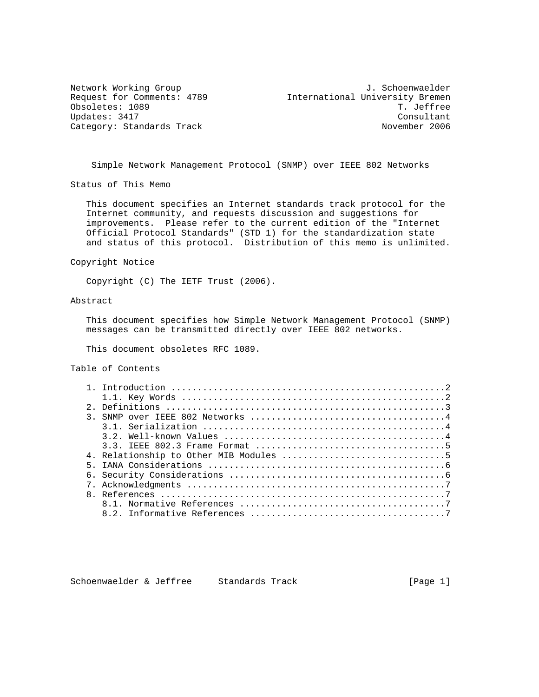Obsoletes: 1089 Category: Standards Track

Network Working Group and Month of the U.S. Schoenwaelder Request for Comments: 4789<br>
Obsoletes: 1089<br>
T. Jeffree Updates: 3417 Consultant

Simple Network Management Protocol (SNMP) over IEEE 802 Networks

Status of This Memo

 This document specifies an Internet standards track protocol for the Internet community, and requests discussion and suggestions for improvements. Please refer to the current edition of the "Internet Official Protocol Standards" (STD 1) for the standardization state and status of this protocol. Distribution of this memo is unlimited.

Copyright Notice

Copyright (C) The IETF Trust (2006).

## Abstract

 This document specifies how Simple Network Management Protocol (SNMP) messages can be transmitted directly over IEEE 802 networks.

This document obsoletes RFC 1089.

Table of Contents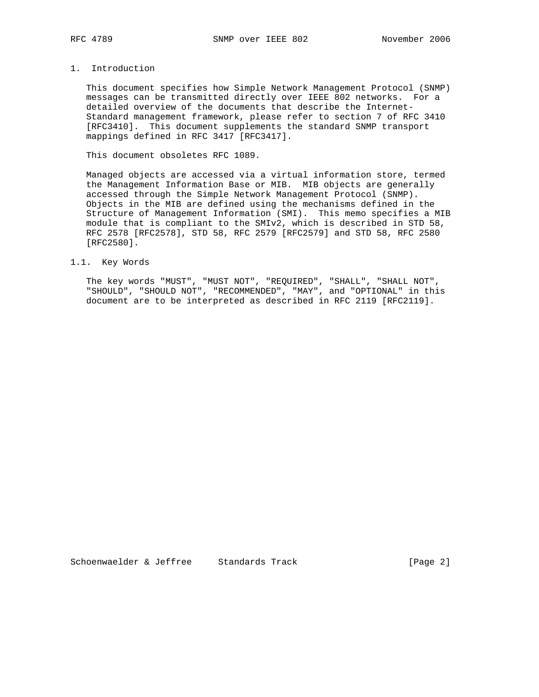# 1. Introduction

 This document specifies how Simple Network Management Protocol (SNMP) messages can be transmitted directly over IEEE 802 networks. For a detailed overview of the documents that describe the Internet- Standard management framework, please refer to section 7 of RFC 3410 [RFC3410]. This document supplements the standard SNMP transport mappings defined in RFC 3417 [RFC3417].

This document obsoletes RFC 1089.

 Managed objects are accessed via a virtual information store, termed the Management Information Base or MIB. MIB objects are generally accessed through the Simple Network Management Protocol (SNMP). Objects in the MIB are defined using the mechanisms defined in the Structure of Management Information (SMI). This memo specifies a MIB module that is compliant to the SMIv2, which is described in STD 58, RFC 2578 [RFC2578], STD 58, RFC 2579 [RFC2579] and STD 58, RFC 2580 [RFC2580].

### 1.1. Key Words

 The key words "MUST", "MUST NOT", "REQUIRED", "SHALL", "SHALL NOT", "SHOULD", "SHOULD NOT", "RECOMMENDED", "MAY", and "OPTIONAL" in this document are to be interpreted as described in RFC 2119 [RFC2119].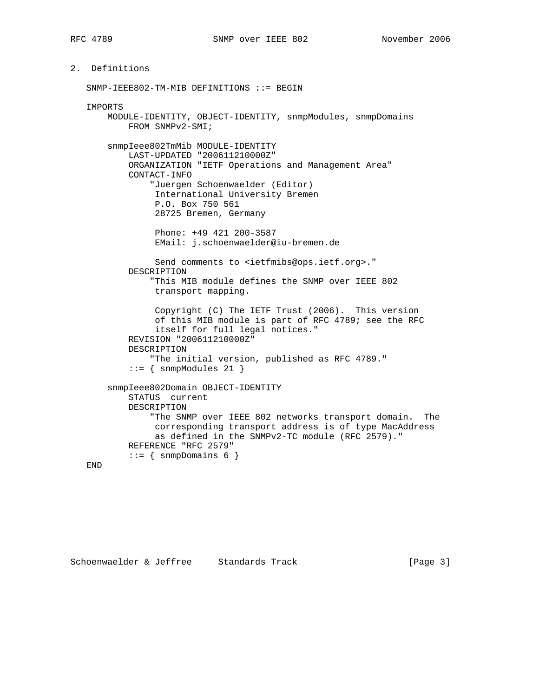# 2. Definitions

 SNMP-IEEE802-TM-MIB DEFINITIONS ::= BEGIN IMPORTS MODULE-IDENTITY, OBJECT-IDENTITY, snmpModules, snmpDomains FROM SNMPv2-SMI; snmpIeee802TmMib MODULE-IDENTITY LAST-UPDATED "200611210000Z" ORGANIZATION "IETF Operations and Management Area" CONTACT-INFO "Juergen Schoenwaelder (Editor) International University Bremen P.O. Box 750 561 28725 Bremen, Germany Phone: +49 421 200-3587 EMail: j.schoenwaelder@iu-bremen.de Send comments to <ietfmibs@ops.ietf.org>." DESCRIPTION "This MIB module defines the SNMP over IEEE 802 transport mapping. Copyright (C) The IETF Trust (2006). This version of this MIB module is part of RFC 4789; see the RFC itself for full legal notices." REVISION "200611210000Z" DESCRIPTION "The initial version, published as RFC 4789."  $::=$  { snmpModules 21 } snmpIeee802Domain OBJECT-IDENTITY STATUS current DESCRIPTION "The SNMP over IEEE 802 networks transport domain. The corresponding transport address is of type MacAddress as defined in the SNMPv2-TC module (RFC 2579)." REFERENCE "RFC 2579"  $::=$  { snmpDomains 6 }

END

Schoenwaelder & Jeffree Standards Track [Page 3]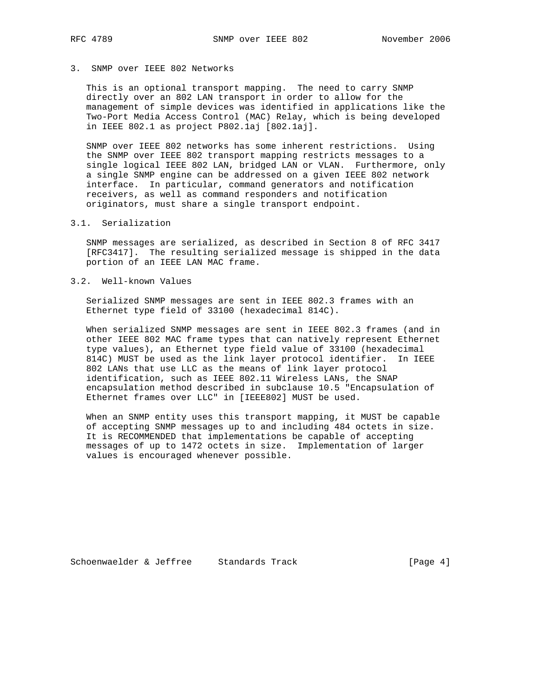# 3. SNMP over IEEE 802 Networks

 This is an optional transport mapping. The need to carry SNMP directly over an 802 LAN transport in order to allow for the management of simple devices was identified in applications like the Two-Port Media Access Control (MAC) Relay, which is being developed in IEEE 802.1 as project P802.1aj [802.1aj].

 SNMP over IEEE 802 networks has some inherent restrictions. Using the SNMP over IEEE 802 transport mapping restricts messages to a single logical IEEE 802 LAN, bridged LAN or VLAN. Furthermore, only a single SNMP engine can be addressed on a given IEEE 802 network interface. In particular, command generators and notification receivers, as well as command responders and notification originators, must share a single transport endpoint.

#### 3.1. Serialization

 SNMP messages are serialized, as described in Section 8 of RFC 3417 [RFC3417]. The resulting serialized message is shipped in the data portion of an IEEE LAN MAC frame.

### 3.2. Well-known Values

 Serialized SNMP messages are sent in IEEE 802.3 frames with an Ethernet type field of 33100 (hexadecimal 814C).

 When serialized SNMP messages are sent in IEEE 802.3 frames (and in other IEEE 802 MAC frame types that can natively represent Ethernet type values), an Ethernet type field value of 33100 (hexadecimal 814C) MUST be used as the link layer protocol identifier. In IEEE 802 LANs that use LLC as the means of link layer protocol identification, such as IEEE 802.11 Wireless LANs, the SNAP encapsulation method described in subclause 10.5 "Encapsulation of Ethernet frames over LLC" in [IEEE802] MUST be used.

 When an SNMP entity uses this transport mapping, it MUST be capable of accepting SNMP messages up to and including 484 octets in size. It is RECOMMENDED that implementations be capable of accepting messages of up to 1472 octets in size. Implementation of larger values is encouraged whenever possible.

Schoenwaelder & Jeffree Standards Track [Page 4]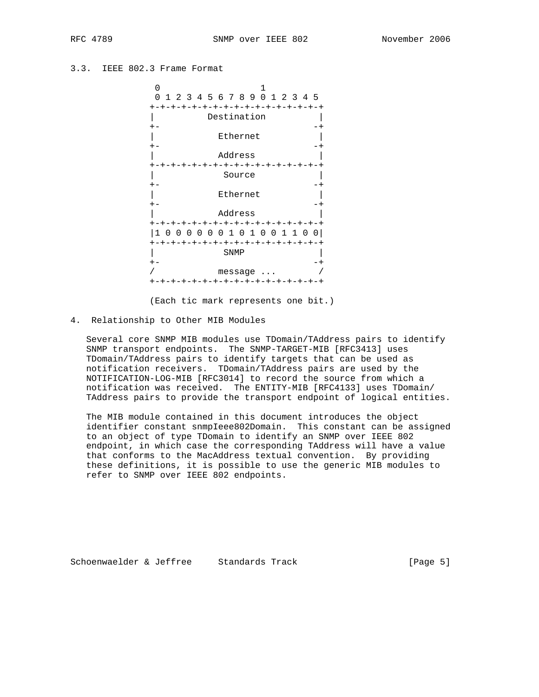## 3.3. IEEE 802.3 Frame Format



(Each tic mark represents one bit.)

4. Relationship to Other MIB Modules

 Several core SNMP MIB modules use TDomain/TAddress pairs to identify SNMP transport endpoints. The SNMP-TARGET-MIB [RFC3413] uses TDomain/TAddress pairs to identify targets that can be used as notification receivers. TDomain/TAddress pairs are used by the NOTIFICATION-LOG-MIB [RFC3014] to record the source from which a notification was received. The ENTITY-MIB [RFC4133] uses TDomain/ TAddress pairs to provide the transport endpoint of logical entities.

 The MIB module contained in this document introduces the object identifier constant snmpIeee802Domain. This constant can be assigned to an object of type TDomain to identify an SNMP over IEEE 802 endpoint, in which case the corresponding TAddress will have a value that conforms to the MacAddress textual convention. By providing these definitions, it is possible to use the generic MIB modules to refer to SNMP over IEEE 802 endpoints.

Schoenwaelder & Jeffree Standards Track [Page 5]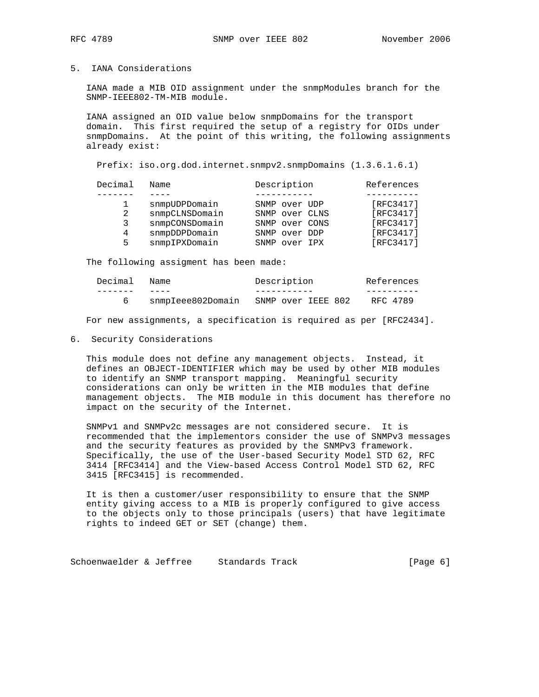## 5. IANA Considerations

 IANA made a MIB OID assignment under the snmpModules branch for the SNMP-IEEE802-TM-MIB module.

 IANA assigned an OID value below snmpDomains for the transport domain. This first required the setup of a registry for OIDs under snmpDomains. At the point of this writing, the following assignments already exist:

Prefix: iso.org.dod.internet.snmpv2.snmpDomains (1.3.6.1.6.1)

| Decimal | Name           | Description    | References |
|---------|----------------|----------------|------------|
|         |                |                |            |
|         | snmpUDPDomain  | SNMP over UDP  | [RFC3417]  |
| 2       | snmpCLNSDomain | SNMP over CLNS | [RFC3417]  |
| 3       | snmpCONSDomain | SNMP over CONS | [RFC3417]  |
| 4       | snmpDDPDomain  | SNMP over DDP  | [RFC3417]  |
| 5.      | snmpIPXDomain  | SNMP over IPX  | [RFC3417]  |
|         |                |                |            |

The following assigment has been made:

| Decimal | Name              | Description        | References |
|---------|-------------------|--------------------|------------|
|         |                   |                    |            |
|         | snmpIeee802Domain | SNMP over IEEE 802 | RFC 4789   |

For new assignments, a specification is required as per [RFC2434].

#### 6. Security Considerations

 This module does not define any management objects. Instead, it defines an OBJECT-IDENTIFIER which may be used by other MIB modules to identify an SNMP transport mapping. Meaningful security considerations can only be written in the MIB modules that define management objects. The MIB module in this document has therefore no impact on the security of the Internet.

 SNMPv1 and SNMPv2c messages are not considered secure. It is recommended that the implementors consider the use of SNMPv3 messages and the security features as provided by the SNMPv3 framework. Specifically, the use of the User-based Security Model STD 62, RFC 3414 [RFC3414] and the View-based Access Control Model STD 62, RFC 3415 [RFC3415] is recommended.

 It is then a customer/user responsibility to ensure that the SNMP entity giving access to a MIB is properly configured to give access to the objects only to those principals (users) that have legitimate rights to indeed GET or SET (change) them.

Schoenwaelder & Jeffree Standards Track (Page 6)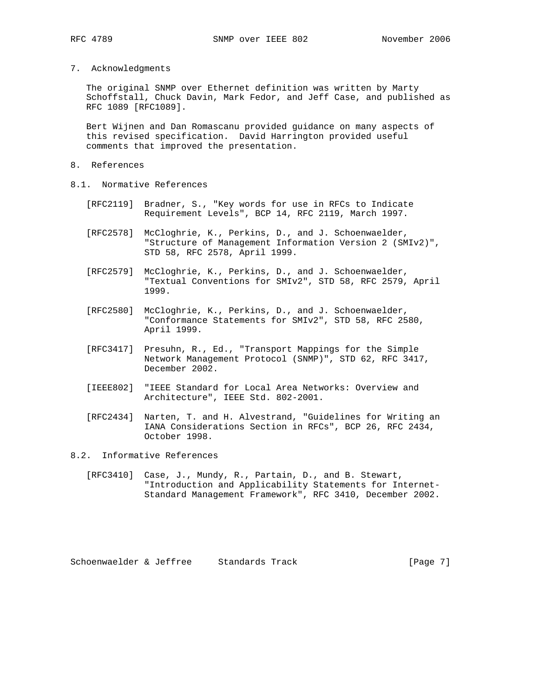7. Acknowledgments

 The original SNMP over Ethernet definition was written by Marty Schoffstall, Chuck Davin, Mark Fedor, and Jeff Case, and published as RFC 1089 [RFC1089].

 Bert Wijnen and Dan Romascanu provided guidance on many aspects of this revised specification. David Harrington provided useful comments that improved the presentation.

- 8. References
- 8.1. Normative References
	- [RFC2119] Bradner, S., "Key words for use in RFCs to Indicate Requirement Levels", BCP 14, RFC 2119, March 1997.
	- [RFC2578] McCloghrie, K., Perkins, D., and J. Schoenwaelder, "Structure of Management Information Version 2 (SMIv2)", STD 58, RFC 2578, April 1999.
	- [RFC2579] McCloghrie, K., Perkins, D., and J. Schoenwaelder, "Textual Conventions for SMIv2", STD 58, RFC 2579, April 1999.
	- [RFC2580] McCloghrie, K., Perkins, D., and J. Schoenwaelder, "Conformance Statements for SMIv2", STD 58, RFC 2580, April 1999.
	- [RFC3417] Presuhn, R., Ed., "Transport Mappings for the Simple Network Management Protocol (SNMP)", STD 62, RFC 3417, December 2002.
	- [IEEE802] "IEEE Standard for Local Area Networks: Overview and Architecture", IEEE Std. 802-2001.
	- [RFC2434] Narten, T. and H. Alvestrand, "Guidelines for Writing an IANA Considerations Section in RFCs", BCP 26, RFC 2434, October 1998.
- 8.2. Informative References
	- [RFC3410] Case, J., Mundy, R., Partain, D., and B. Stewart, "Introduction and Applicability Statements for Internet- Standard Management Framework", RFC 3410, December 2002.

Schoenwaelder & Jeffree Standards Track [Page 7]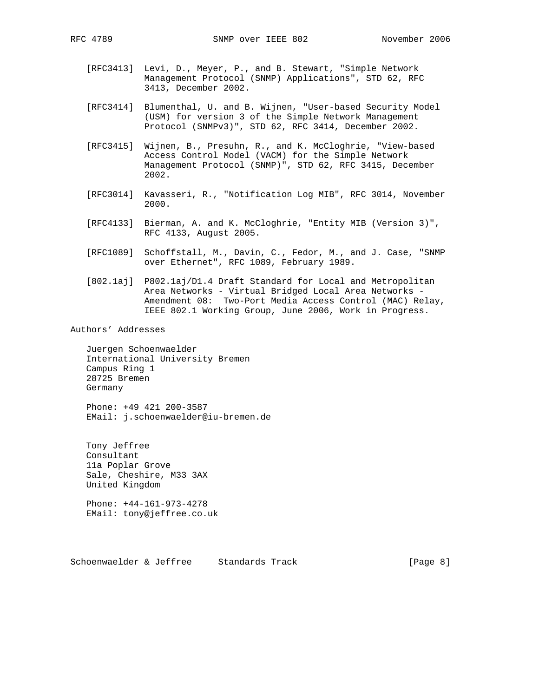- - [RFC3413] Levi, D., Meyer, P., and B. Stewart, "Simple Network Management Protocol (SNMP) Applications", STD 62, RFC 3413, December 2002.
	- [RFC3414] Blumenthal, U. and B. Wijnen, "User-based Security Model (USM) for version 3 of the Simple Network Management Protocol (SNMPv3)", STD 62, RFC 3414, December 2002.
	- [RFC3415] Wijnen, B., Presuhn, R., and K. McCloghrie, "View-based Access Control Model (VACM) for the Simple Network Management Protocol (SNMP)", STD 62, RFC 3415, December 2002.
	- [RFC3014] Kavasseri, R., "Notification Log MIB", RFC 3014, November 2000.
	- [RFC4133] Bierman, A. and K. McCloghrie, "Entity MIB (Version 3)", RFC 4133, August 2005.
	- [RFC1089] Schoffstall, M., Davin, C., Fedor, M., and J. Case, "SNMP over Ethernet", RFC 1089, February 1989.
	- [802.1aj] P802.1aj/D1.4 Draft Standard for Local and Metropolitan Area Networks - Virtual Bridged Local Area Networks - Amendment 08: Two-Port Media Access Control (MAC) Relay, IEEE 802.1 Working Group, June 2006, Work in Progress.

Authors' Addresses

 Juergen Schoenwaelder International University Bremen Campus Ring 1 28725 Bremen Germany

 Phone: +49 421 200-3587 EMail: j.schoenwaelder@iu-bremen.de

 Tony Jeffree Consultant 11a Poplar Grove Sale, Cheshire, M33 3AX United Kingdom

 Phone: +44-161-973-4278 EMail: tony@jeffree.co.uk